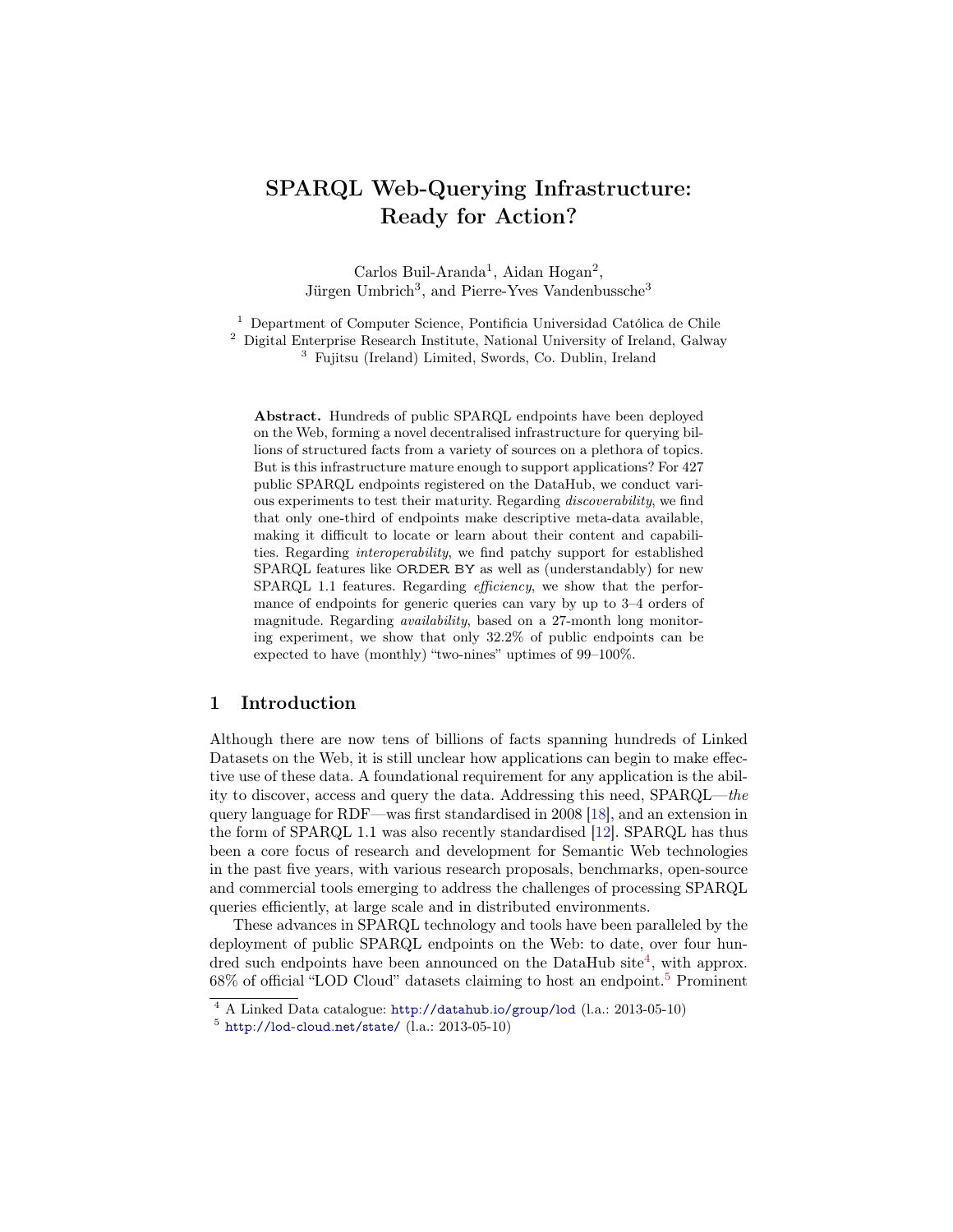# SPARQL Web-Querying Infrastructure: Ready for Action?

Carlos Buil-Aranda<sup>1</sup>, Aidan Hogan<sup>2</sup>, Jürgen Umbrich<sup>3</sup>, and Pierre-Yves Vandenbussche<sup>3</sup>

<sup>1</sup> Department of Computer Science, Pontificia Universidad Católica de Chile

<sup>2</sup> Digital Enterprise Research Institute, National University of Ireland, Galway

<sup>3</sup> Fujitsu (Ireland) Limited, Swords, Co. Dublin, Ireland

Abstract. Hundreds of public SPARQL endpoints have been deployed on the Web, forming a novel decentralised infrastructure for querying billions of structured facts from a variety of sources on a plethora of topics. But is this infrastructure mature enough to support applications? For 427 public SPARQL endpoints registered on the DataHub, we conduct various experiments to test their maturity. Regarding discoverability, we find that only one-third of endpoints make descriptive meta-data available, making it difficult to locate or learn about their content and capabilities. Regarding interoperability, we find patchy support for established SPARQL features like ORDER BY as well as (understandably) for new SPARQL 1.1 features. Regarding *efficiency*, we show that the performance of endpoints for generic queries can vary by up to 3–4 orders of magnitude. Regarding availability, based on a 27-month long monitoring experiment, we show that only 32.2% of public endpoints can be expected to have (monthly) "two-nines" uptimes of 99–100%.

## 1 Introduction

Although there are now tens of billions of facts spanning hundreds of Linked Datasets on the Web, it is still unclear how applications can begin to make effective use of these data. A foundational requirement for any application is the ability to discover, access and query the data. Addressing this need, SPARQL—the query language for RDF—was first standardised in 2008 [\[18\]](#page-15-0), and an extension in the form of SPARQL 1.1 was also recently standardised [\[12\]](#page-15-1). SPARQL has thus been a core focus of research and development for Semantic Web technologies in the past five years, with various research proposals, benchmarks, open-source and commercial tools emerging to address the challenges of processing SPARQL queries efficiently, at large scale and in distributed environments.

These advances in SPARQL technology and tools have been paralleled by the deployment of public SPARQL endpoints on the Web: to date, over four hun-dred such endpoints have been announced on the DataHub site<sup>[4](#page-0-0)</sup>, with approx. 68% of official "LOD Cloud" datasets claiming to host an endpoint.[5](#page-0-1) Prominent

<span id="page-0-0"></span><sup>4</sup> A Linked Data catalogue: <http://datahub.io/group/lod> (l.a.: 2013-05-10)

<span id="page-0-1"></span> $5 \text{ http://lod-coloud.net/state/}$  (l.a.: 2013-05-10)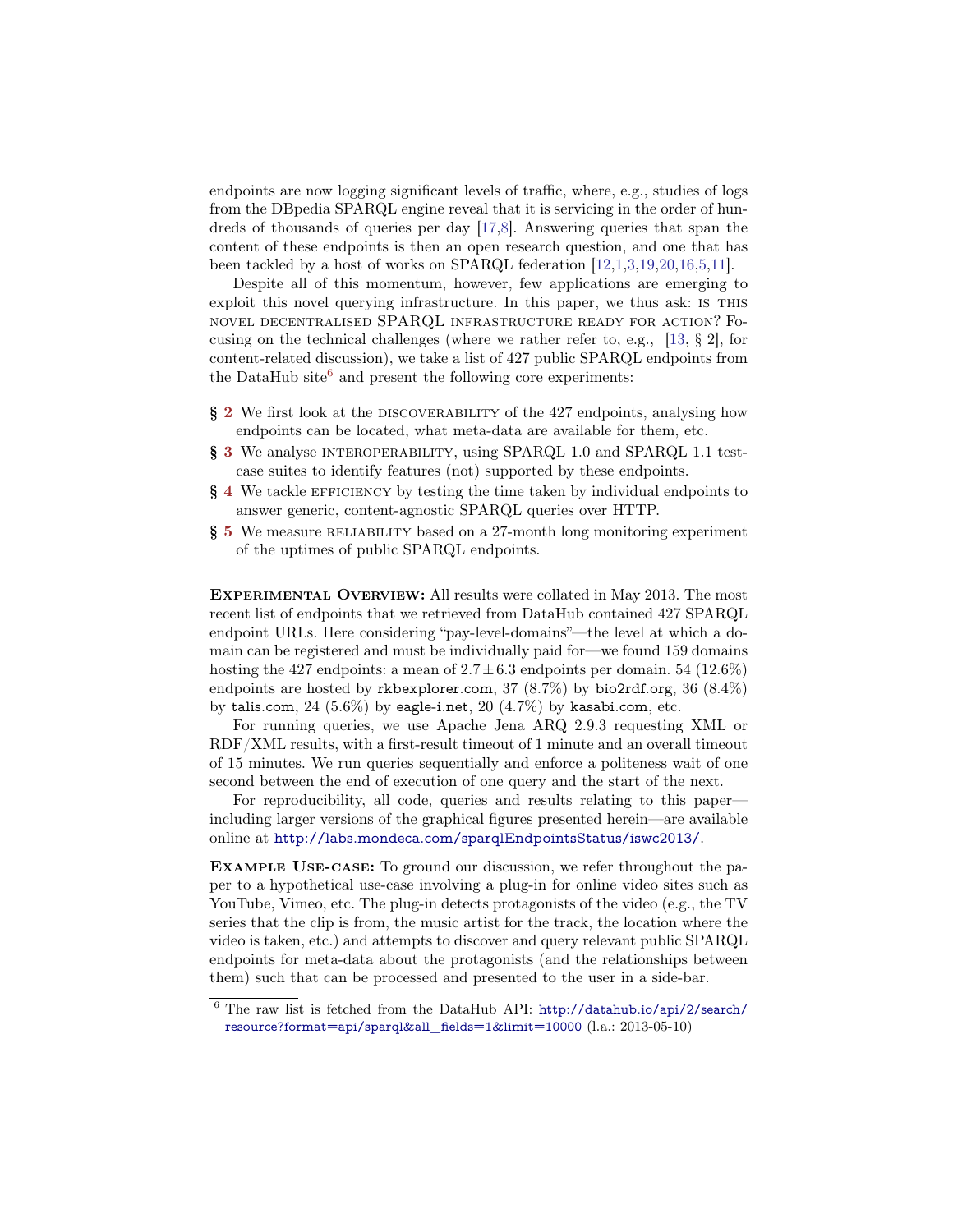endpoints are now logging significant levels of traffic, where, e.g., studies of logs from the DBpedia SPARQL engine reveal that it is servicing in the order of hundreds of thousands of queries per day [\[17,](#page-15-2)[8\]](#page-15-3). Answering queries that span the content of these endpoints is then an open research question, and one that has been tackled by a host of works on SPARQL federation [\[12,](#page-15-1)[1,](#page-15-4)[3,](#page-15-5)[19,](#page-15-6)[20,](#page-15-7)[16,](#page-15-8)[5,](#page-15-9)[11\]](#page-15-10).

Despite all of this momentum, however, few applications are emerging to exploit this novel querying infrastructure. In this paper, we thus ask: is THIS novel decentralised SPARQL infrastructure ready for action? Focusing on the technical challenges (where we rather refer to, e.g., [\[13,](#page-15-11) § 2], for content-related discussion), we take a list of 427 public SPARQL endpoints from the DataHub site<sup>[6](#page-1-0)</sup> and present the following core experiments:

- § [2](#page-2-0) We first look at the discoverability of the 427 endpoints, analysing how endpoints can be located, what meta-data are available for them, etc.
- § [3](#page-4-0) We analyse interoperability, using SPARQL 1.0 and SPARQL 1.1 testcase suites to identify features (not) supported by these endpoints.
- § [4](#page-7-0) We tackle efficiency by testing the time taken by individual endpoints to answer generic, content-agnostic SPARQL queries over HTTP.
- § [5](#page-11-0) We measure RELIABILITY based on a 27-month long monitoring experiment of the uptimes of public SPARQL endpoints.

EXPERIMENTAL OVERVIEW: All results were collated in May 2013. The most recent list of endpoints that we retrieved from DataHub contained 427 SPARQL endpoint URLs. Here considering "pay-level-domains"—the level at which a domain can be registered and must be individually paid for—we found 159 domains hosting the 427 endpoints: a mean of  $2.7 \pm 6.3$  endpoints per domain. 54 (12.6%) endpoints are hosted by rkbexplorer.com, 37 (8.7%) by bio2rdf.org, 36 (8.4%) by talis.com, 24  $(5.6\%)$  by eagle-i.net, 20  $(4.7\%)$  by kasabi.com, etc.

For running queries, we use Apache Jena ARQ 2.9.3 requesting XML or RDF/XML results, with a first-result timeout of 1 minute and an overall timeout of 15 minutes. We run queries sequentially and enforce a politeness wait of one second between the end of execution of one query and the start of the next.

For reproducibility, all code, queries and results relating to this paper including larger versions of the graphical figures presented herein—are available online at <http://labs.mondeca.com/sparqlEndpointsStatus/iswc2013/>.

Example Use-case: To ground our discussion, we refer throughout the paper to a hypothetical use-case involving a plug-in for online video sites such as YouTube, Vimeo, etc. The plug-in detects protagonists of the video (e.g., the TV series that the clip is from, the music artist for the track, the location where the video is taken, etc.) and attempts to discover and query relevant public SPARQL endpoints for meta-data about the protagonists (and the relationships between them) such that can be processed and presented to the user in a side-bar.

<span id="page-1-0"></span><sup>6</sup> The raw list is fetched from the DataHub API: [http://datahub.io/api/2/search/](http://datahub.io/api/2/search/resource?format=api/sparql&all_fields=1&limit=10000) [resource?format=api/sparql&all\\_fields=1&limit=10000](http://datahub.io/api/2/search/resource?format=api/sparql&all_fields=1&limit=10000) (l.a.: 2013-05-10)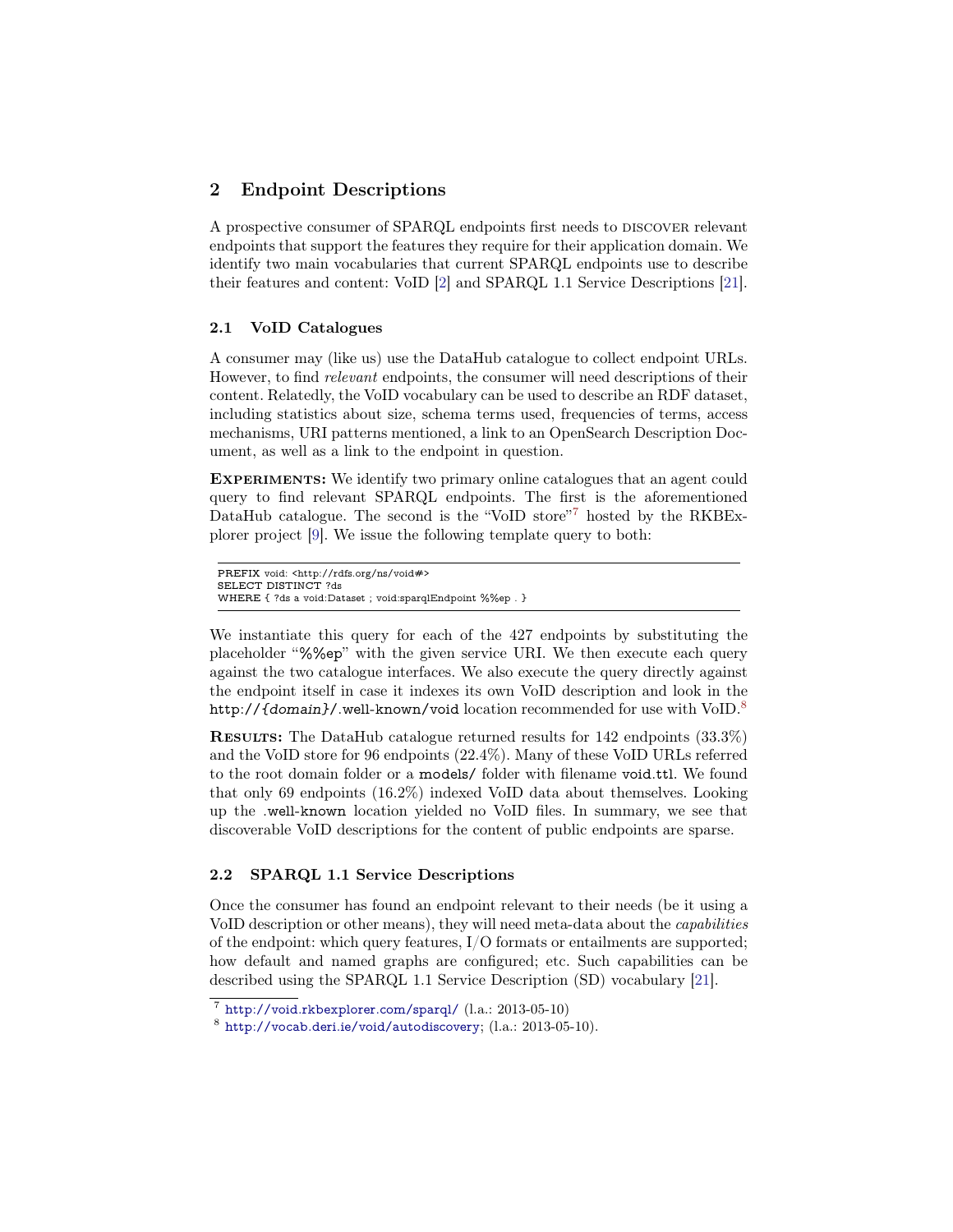# <span id="page-2-0"></span>2 Endpoint Descriptions

A prospective consumer of SPARQL endpoints first needs to DISCOVER relevant endpoints that support the features they require for their application domain. We identify two main vocabularies that current SPARQL endpoints use to describe their features and content: VoID [\[2\]](#page-15-12) and SPARQL 1.1 Service Descriptions [\[21\]](#page-15-13).

### 2.1 VoID Catalogues

A consumer may (like us) use the DataHub catalogue to collect endpoint URLs. However, to find relevant endpoints, the consumer will need descriptions of their content. Relatedly, the VoID vocabulary can be used to describe an RDF dataset, including statistics about size, schema terms used, frequencies of terms, access mechanisms, URI patterns mentioned, a link to an OpenSearch Description Document, as well as a link to the endpoint in question.

EXPERIMENTS: We identify two primary online catalogues that an agent could query to find relevant SPARQL endpoints. The first is the aforementioned DataHub catalogue. The second is the "VoID store"<sup>[7](#page-2-1)</sup> hosted by the RKBExplorer project [\[9\]](#page-15-14). We issue the following template query to both:

```
PREFIX void: <http://rdfs.org/ns/void#>
SELECT DISTINCT ?ds
WHERE { ?ds a void:Dataset ; void:sparqlEndpoint %%ep . }
```
We instantiate this query for each of the 427 endpoints by substituting the placeholder "%%ep" with the given service URI. We then execute each query against the two catalogue interfaces. We also execute the query directly against the endpoint itself in case it indexes its own VoID description and look in the http://{domain}/.well-known/void location recommended for use with VoID.<sup>[8](#page-2-2)</sup>

Results: The DataHub catalogue returned results for 142 endpoints (33.3%) and the VoID store for 96 endpoints (22.4%). Many of these VoID URLs referred to the root domain folder or a models/ folder with filename void.ttl. We found that only 69 endpoints (16.2%) indexed VoID data about themselves. Looking up the .well-known location yielded no VoID files. In summary, we see that discoverable VoID descriptions for the content of public endpoints are sparse.

### 2.2 SPARQL 1.1 Service Descriptions

Once the consumer has found an endpoint relevant to their needs (be it using a VoID description or other means), they will need meta-data about the capabilities of the endpoint: which query features, I/O formats or entailments are supported; how default and named graphs are configured; etc. Such capabilities can be described using the SPARQL 1.1 Service Description (SD) vocabulary [\[21\]](#page-15-13).

<span id="page-2-1"></span><sup>7</sup> <http://void.rkbexplorer.com/sparql/> (l.a.: 2013-05-10)

<span id="page-2-2"></span><sup>8</sup> <http://vocab.deri.ie/void/autodiscovery>; (l.a.: 2013-05-10).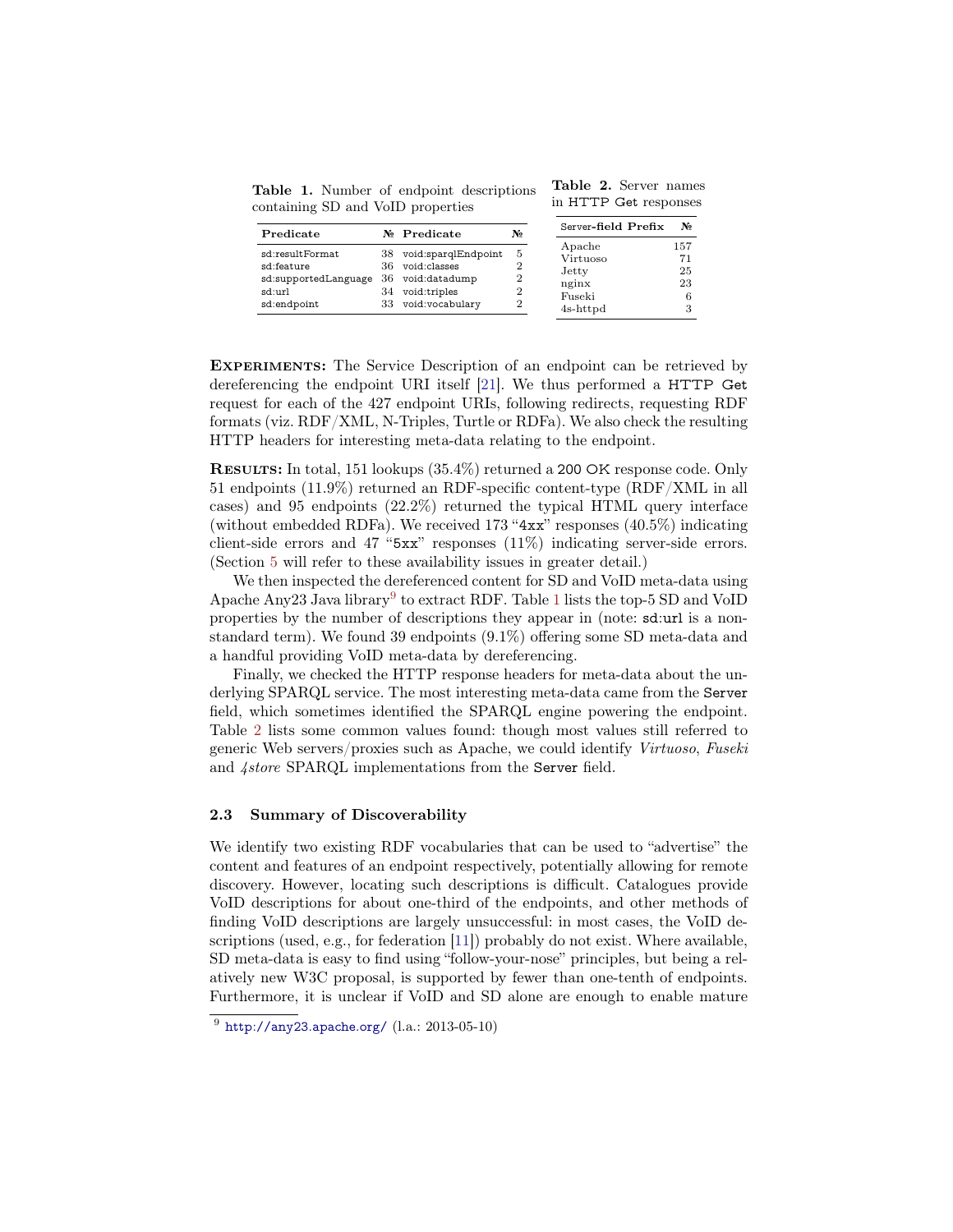<span id="page-3-1"></span>Table 1. Number of endpoint descriptions containing SD and VoID properties

<span id="page-3-2"></span>

| <b>Table 2.</b> Server names |  |  |
|------------------------------|--|--|
| in HTTP Get responses        |  |  |

| Predicate                                                                      |      | $N_{2}$ Predicate                                                                                    | No | Server-field Prefix                                        | No                              |
|--------------------------------------------------------------------------------|------|------------------------------------------------------------------------------------------------------|----|------------------------------------------------------------|---------------------------------|
| sd:resultFormat<br>sd:feature<br>sd:supportedLanguage<br>sd:url<br>sd:endpoint | 36 - | 38 void:sparqlEndpoint<br>void:classes<br>36 void:datadump<br>34 void:triples<br>33 void: vocabulary | 5  | Apache<br>Virtuoso<br>Jetty<br>nginx<br>Fuseki<br>4s-httpd | 157<br>71<br>25<br>23<br>6<br>3 |

Experiments: The Service Description of an endpoint can be retrieved by dereferencing the endpoint URI itself [\[21\]](#page-15-13). We thus performed a HTTP Get request for each of the 427 endpoint URIs, following redirects, requesting RDF formats (viz. RDF/XML, N-Triples, Turtle or RDFa). We also check the resulting HTTP headers for interesting meta-data relating to the endpoint.

Results: In total, 151 lookups (35.4%) returned a 200 OK response code. Only 51 endpoints (11.9%) returned an RDF-specific content-type (RDF/XML in all cases) and 95 endpoints (22.2%) returned the typical HTML query interface (without embedded RDFa). We received  $173$  " $4xx$ " responses (40.5%) indicating client-side errors and 47 "5xx" responses (11%) indicating server-side errors. (Section [5](#page-11-0) will refer to these availability issues in greater detail.)

We then inspected the dereferenced content for SD and VoID meta-data using Apache Any 23 Java library<sup>[9](#page-3-0)</sup> to extract RDF. Table [1](#page-3-1) lists the top-5 SD and VoID properties by the number of descriptions they appear in (note: sd:url is a nonstandard term). We found 39 endpoints (9.1%) offering some SD meta-data and a handful providing VoID meta-data by dereferencing.

Finally, we checked the HTTP response headers for meta-data about the underlying SPARQL service. The most interesting meta-data came from the Server field, which sometimes identified the SPARQL engine powering the endpoint. Table [2](#page-3-2) lists some common values found: though most values still referred to generic Web servers/proxies such as Apache, we could identify Virtuoso, Fuseki and 4store SPARQL implementations from the Server field.

### 2.3 Summary of Discoverability

We identify two existing RDF vocabularies that can be used to "advertise" the content and features of an endpoint respectively, potentially allowing for remote discovery. However, locating such descriptions is difficult. Catalogues provide VoID descriptions for about one-third of the endpoints, and other methods of finding VoID descriptions are largely unsuccessful: in most cases, the VoID descriptions (used, e.g., for federation [\[11\]](#page-15-10)) probably do not exist. Where available, SD meta-data is easy to find using "follow-your-nose" principles, but being a relatively new W3C proposal, is supported by fewer than one-tenth of endpoints. Furthermore, it is unclear if VoID and SD alone are enough to enable mature

<span id="page-3-0"></span> $^{9}$  <http://any23.apache.org/> (l.a.: 2013-05-10)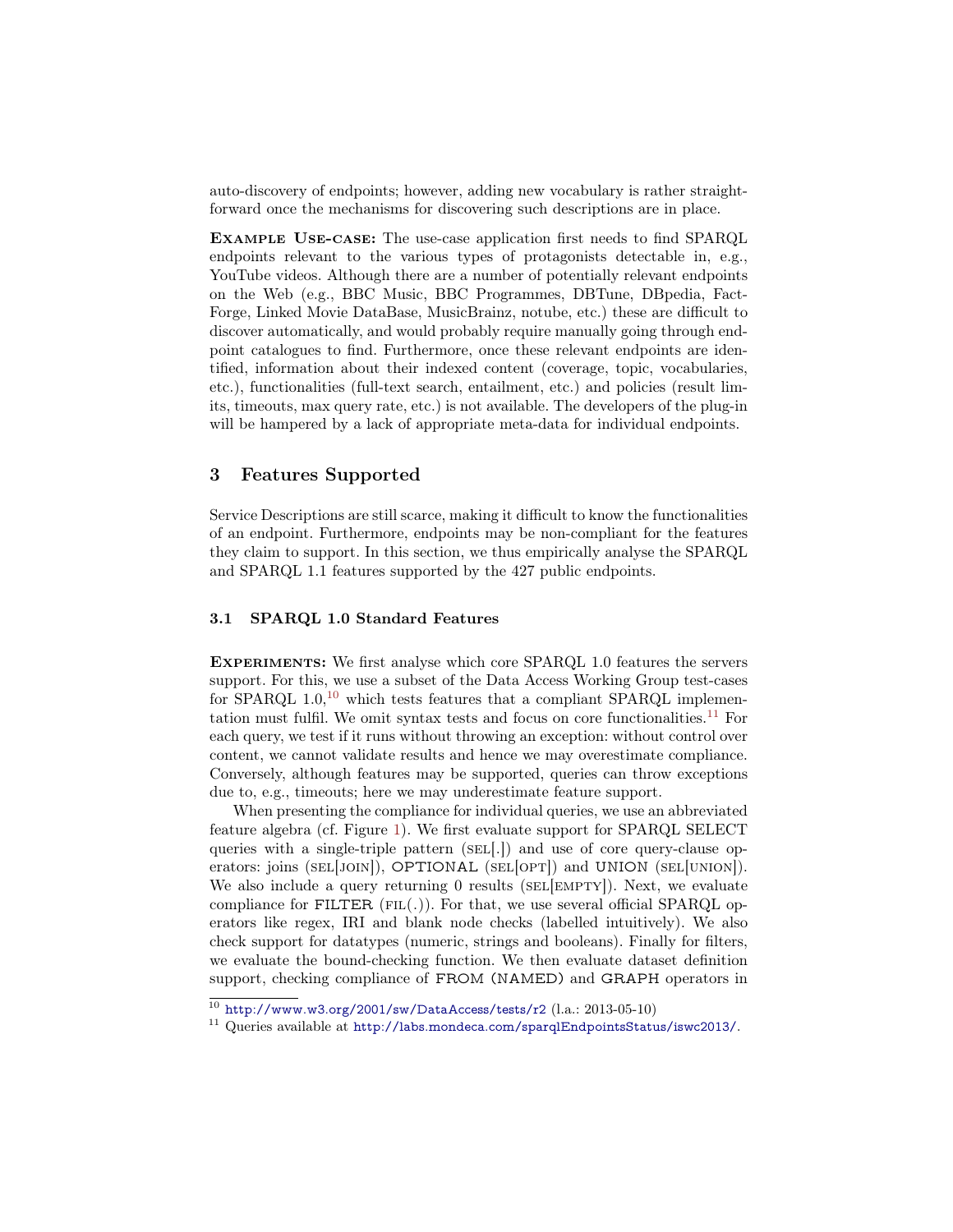auto-discovery of endpoints; however, adding new vocabulary is rather straightforward once the mechanisms for discovering such descriptions are in place.

Example Use-case: The use-case application first needs to find SPARQL endpoints relevant to the various types of protagonists detectable in, e.g., YouTube videos. Although there are a number of potentially relevant endpoints on the Web (e.g., BBC Music, BBC Programmes, DBTune, DBpedia, Fact-Forge, Linked Movie DataBase, MusicBrainz, notube, etc.) these are difficult to discover automatically, and would probably require manually going through endpoint catalogues to find. Furthermore, once these relevant endpoints are identified, information about their indexed content (coverage, topic, vocabularies, etc.), functionalities (full-text search, entailment, etc.) and policies (result limits, timeouts, max query rate, etc.) is not available. The developers of the plug-in will be hampered by a lack of appropriate meta-data for individual endpoints.

# <span id="page-4-0"></span>3 Features Supported

Service Descriptions are still scarce, making it difficult to know the functionalities of an endpoint. Furthermore, endpoints may be non-compliant for the features they claim to support. In this section, we thus empirically analyse the SPARQL and SPARQL 1.1 features supported by the 427 public endpoints.

### 3.1 SPARQL 1.0 Standard Features

Experiments: We first analyse which core SPARQL 1.0 features the servers support. For this, we use a subset of the Data Access Working Group test-cases for SPARQL  $1.0$ ,<sup>[10](#page-4-1)</sup> which tests features that a compliant SPARQL implemen-tation must fulfil. We omit syntax tests and focus on core functionalities.<sup>[11](#page-4-2)</sup> For each query, we test if it runs without throwing an exception: without control over content, we cannot validate results and hence we may overestimate compliance. Conversely, although features may be supported, queries can throw exceptions due to, e.g., timeouts; here we may underestimate feature support.

When presenting the compliance for individual queries, we use an abbreviated feature algebra (cf. Figure [1\)](#page-5-0). We first evaluate support for SPARQL SELECT queries with a single-triple pattern  $(SEL).$ ) and use of core query-clause operators: joins (SEL[JOIN]), OPTIONAL (SEL[OPT]) and UNION (SEL[UNION]). We also include a query returning  $\theta$  results (SEL[EMPTY]). Next, we evaluate compliance for FILTER  $(FIL(.))$ . For that, we use several official SPARQL operators like regex, IRI and blank node checks (labelled intuitively). We also check support for datatypes (numeric, strings and booleans). Finally for filters, we evaluate the bound-checking function. We then evaluate dataset definition support, checking compliance of FROM (NAMED) and GRAPH operators in

<span id="page-4-1"></span> $^{10}$  <http://www.w3.org/2001/sw/DataAccess/tests/r2> (l.a.: 2013-05-10)

<span id="page-4-2"></span><sup>11</sup> Queries available at <http://labs.mondeca.com/sparqlEndpointsStatus/iswc2013/>.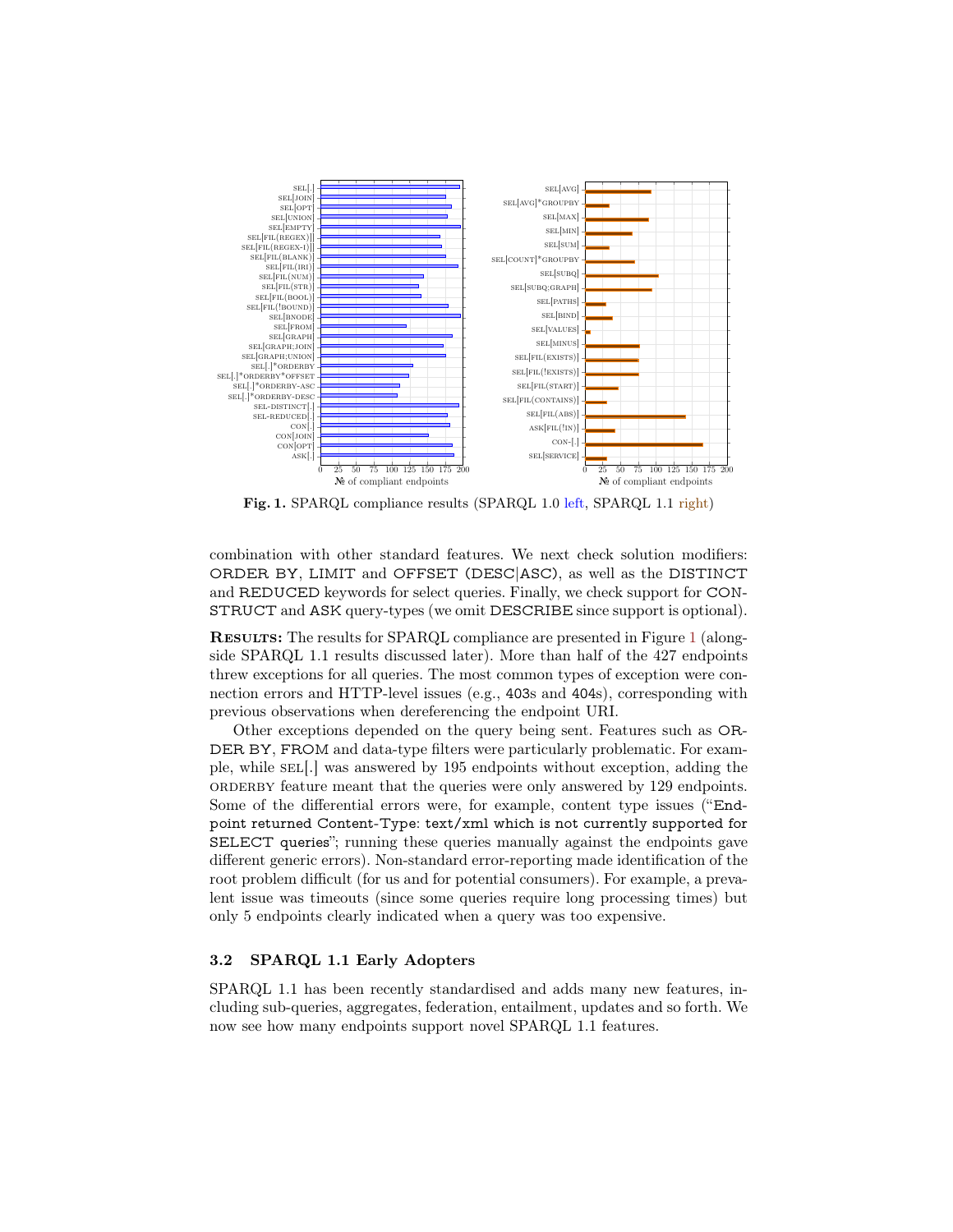

<span id="page-5-0"></span>Fig. 1. SPARQL compliance results (SPARQL 1.0 left, SPARQL 1.1 right)

combination with other standard features. We next check solution modifiers: ORDER BY, LIMIT and OFFSET (DESC|ASC), as well as the DISTINCT and REDUCED keywords for select queries. Finally, we check support for CON-STRUCT and ASK query-types (we omit DESCRIBE since support is optional).

Results: The results for SPARQL compliance are presented in Figure [1](#page-5-0) (alongside SPARQL 1.1 results discussed later). More than half of the 427 endpoints threw exceptions for all queries. The most common types of exception were connection errors and HTTP-level issues (e.g., 403s and 404s), corresponding with previous observations when dereferencing the endpoint URI.

Other exceptions depended on the query being sent. Features such as OR-DER BY, FROM and data-type filters were particularly problematic. For example, while sel[.] was answered by 195 endpoints without exception, adding the orderby feature meant that the queries were only answered by 129 endpoints. Some of the differential errors were, for example, content type issues ("Endpoint returned Content-Type: text/xml which is not currently supported for SELECT queries"; running these queries manually against the endpoints gave different generic errors). Non-standard error-reporting made identification of the root problem difficult (for us and for potential consumers). For example, a prevalent issue was timeouts (since some queries require long processing times) but only 5 endpoints clearly indicated when a query was too expensive.

### 3.2 SPARQL 1.1 Early Adopters

SPARQL 1.1 has been recently standardised and adds many new features, including sub-queries, aggregates, federation, entailment, updates and so forth. We now see how many endpoints support novel SPARQL 1.1 features.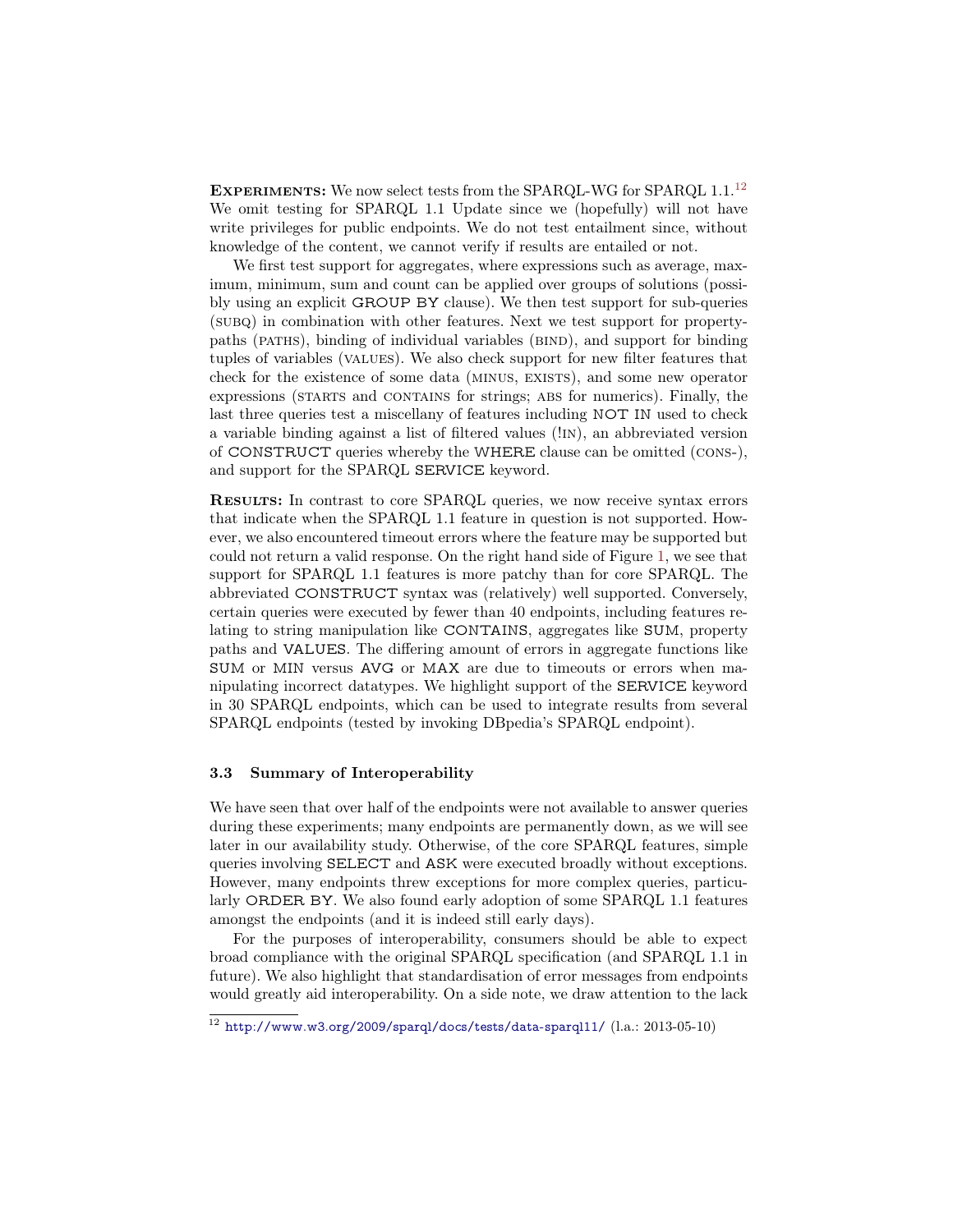**EXPERIMENTS:** We now select tests from the SPARQL-WG for SPARQL  $1.1^{12}$  $1.1^{12}$  $1.1^{12}$ We omit testing for SPARQL 1.1 Update since we (hopefully) will not have write privileges for public endpoints. We do not test entailment since, without knowledge of the content, we cannot verify if results are entailed or not.

We first test support for aggregates, where expressions such as average, maximum, minimum, sum and count can be applied over groups of solutions (possibly using an explicit GROUP BY clause). We then test support for sub-queries (subq) in combination with other features. Next we test support for propertypaths (paths), binding of individual variables (bind), and support for binding tuples of variables (values). We also check support for new filter features that check for the existence of some data (MINUS, EXISTS), and some new operator expressions (STARTS and CONTAINS for strings; ABS for numerics). Finally, the last three queries test a miscellany of features including NOT IN used to check a variable binding against a list of filtered values (!in), an abbreviated version of CONSTRUCT queries whereby the WHERE clause can be omitted (cons-), and support for the SPARQL SERVICE keyword.

Results: In contrast to core SPARQL queries, we now receive syntax errors that indicate when the SPARQL 1.1 feature in question is not supported. However, we also encountered timeout errors where the feature may be supported but could not return a valid response. On the right hand side of Figure [1,](#page-5-0) we see that support for SPARQL 1.1 features is more patchy than for core SPARQL. The abbreviated CONSTRUCT syntax was (relatively) well supported. Conversely, certain queries were executed by fewer than 40 endpoints, including features relating to string manipulation like CONTAINS, aggregates like SUM, property paths and VALUES. The differing amount of errors in aggregate functions like SUM or MIN versus AVG or MAX are due to timeouts or errors when manipulating incorrect datatypes. We highlight support of the SERVICE keyword in 30 SPARQL endpoints, which can be used to integrate results from several SPARQL endpoints (tested by invoking DBpedia's SPARQL endpoint).

### 3.3 Summary of Interoperability

We have seen that over half of the endpoints were not available to answer queries during these experiments; many endpoints are permanently down, as we will see later in our availability study. Otherwise, of the core SPARQL features, simple queries involving SELECT and ASK were executed broadly without exceptions. However, many endpoints threw exceptions for more complex queries, particularly ORDER BY. We also found early adoption of some SPARQL 1.1 features amongst the endpoints (and it is indeed still early days).

For the purposes of interoperability, consumers should be able to expect broad compliance with the original SPARQL specification (and SPARQL 1.1 in future). We also highlight that standardisation of error messages from endpoints would greatly aid interoperability. On a side note, we draw attention to the lack

<span id="page-6-0"></span> $\frac{12 \text{ http://www.w3.org/2009/sparql/docs/tests/data-sparql11/[l.a.: 2013-05-10)}}$  $\frac{12 \text{ http://www.w3.org/2009/sparql/docs/tests/data-sparql11/[l.a.: 2013-05-10)}}$  $\frac{12 \text{ http://www.w3.org/2009/sparql/docs/tests/data-sparql11/[l.a.: 2013-05-10)}}$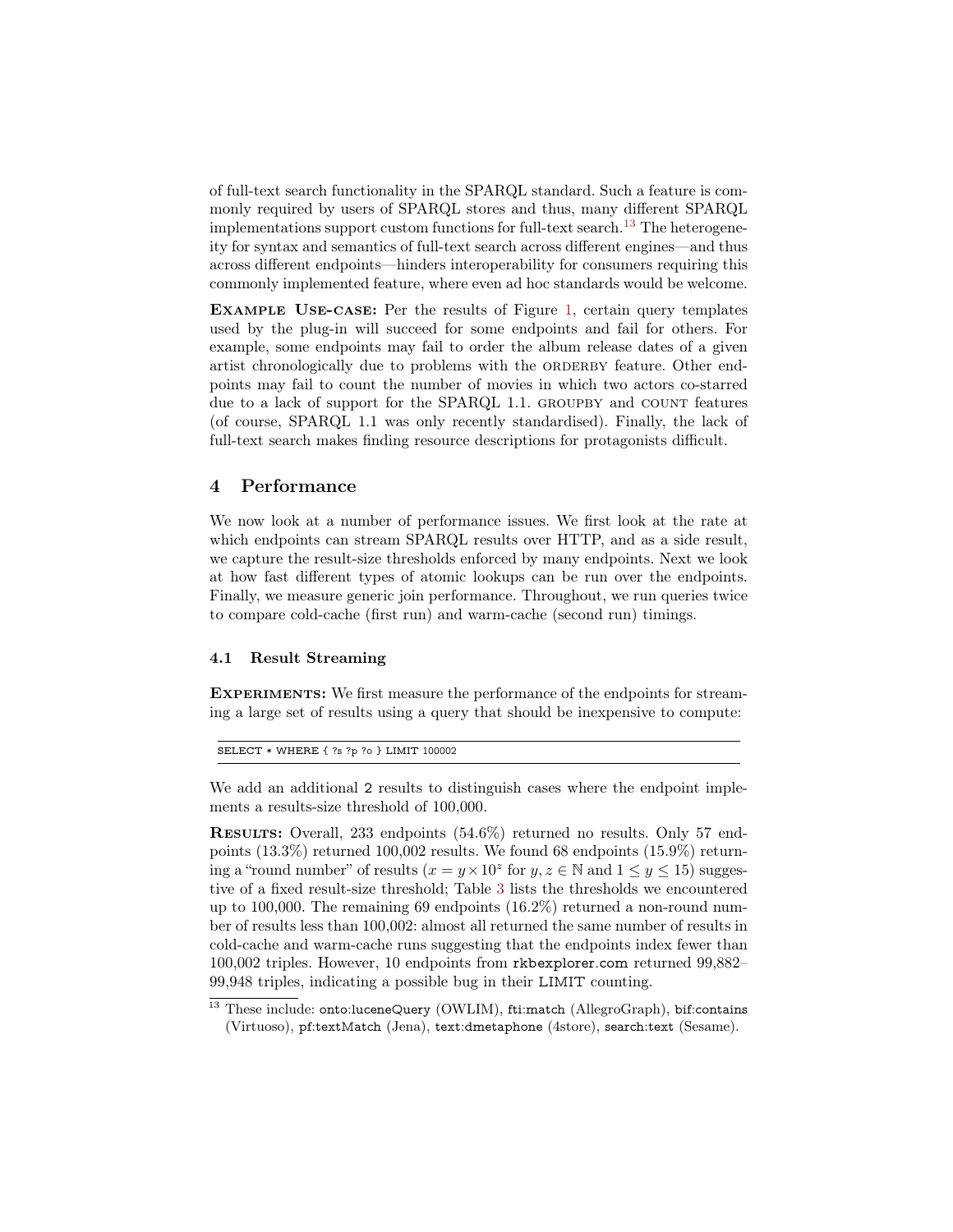of full-text search functionality in the SPARQL standard. Such a feature is commonly required by users of SPARQL stores and thus, many different SPARQL implementations support custom functions for full-text search.<sup>[13](#page-7-1)</sup> The heterogeneity for syntax and semantics of full-text search across different engines—and thus across different endpoints—hinders interoperability for consumers requiring this commonly implemented feature, where even ad hoc standards would be welcome.

Example Use-case: Per the results of Figure [1,](#page-5-0) certain query templates used by the plug-in will succeed for some endpoints and fail for others. For example, some endpoints may fail to order the album release dates of a given artist chronologically due to problems with the ORDERBY feature. Other endpoints may fail to count the number of movies in which two actors co-starred due to a lack of support for the SPARQL 1.1. GROUPBY and COUNT features (of course, SPARQL 1.1 was only recently standardised). Finally, the lack of full-text search makes finding resource descriptions for protagonists difficult.

# <span id="page-7-0"></span>4 Performance

We now look at a number of performance issues. We first look at the rate at which endpoints can stream SPARQL results over HTTP, and as a side result, we capture the result-size thresholds enforced by many endpoints. Next we look at how fast different types of atomic lookups can be run over the endpoints. Finally, we measure generic join performance. Throughout, we run queries twice to compare cold-cache (first run) and warm-cache (second run) timings.

### 4.1 Result Streaming

EXPERIMENTS: We first measure the performance of the endpoints for streaming a large set of results using a query that should be inexpensive to compute:

```
SELECT * WHERE { ?s ?p ?o } LIMIT 100002
```
We add an additional 2 results to distinguish cases where the endpoint implements a results-size threshold of 100,000.

Results: Overall, 233 endpoints (54.6%) returned no results. Only 57 endpoints (13.3%) returned 100,002 results. We found 68 endpoints (15.9%) returning a "round number" of results  $(x = y \times 10^z \text{ for } y, z \in \mathbb{N} \text{ and } 1 \le y \le 15)$  suggestive of a fixed result-size threshold; Table [3](#page-8-0) lists the thresholds we encountered up to 100,000. The remaining 69 endpoints (16.2%) returned a non-round number of results less than 100,002: almost all returned the same number of results in cold-cache and warm-cache runs suggesting that the endpoints index fewer than 100,002 triples. However, 10 endpoints from rkbexplorer.com returned 99,882– 99,948 triples, indicating a possible bug in their LIMIT counting.

<span id="page-7-1"></span> $^{13}$  These include: onto:luceneQuery (OWLIM), fti:match (AllegroGraph), bif:contains (Virtuoso), pf:textMatch (Jena), text:dmetaphone (4store), search:text (Sesame).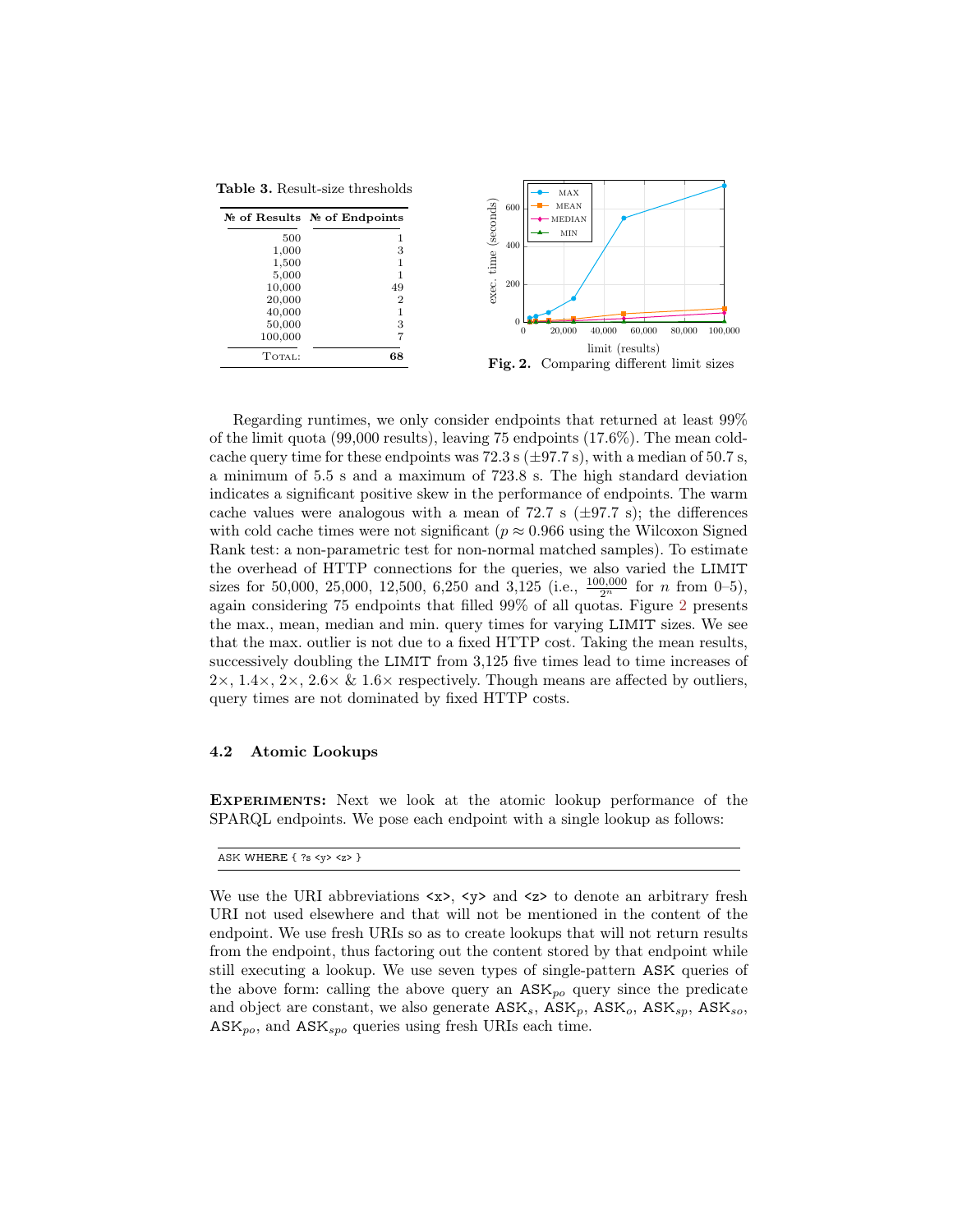Table 3. Result-size thresholds

<span id="page-8-0"></span>

<span id="page-8-1"></span>Regarding runtimes, we only consider endpoints that returned at least 99% of the limit quota (99,000 results), leaving 75 endpoints (17.6%). The mean coldcache query time for these endpoints was  $72.3$  s  $(\pm 97.7 \text{ s})$ , with a median of  $50.7 \text{ s}$ , a minimum of 5.5 s and a maximum of 723.8 s. The high standard deviation indicates a significant positive skew in the performance of endpoints. The warm cache values were analogous with a mean of 72.7 s  $(\pm 97.7 \text{ s})$ ; the differences with cold cache times were not significant ( $p \approx 0.966$  using the Wilcoxon Signed Rank test: a non-parametric test for non-normal matched samples). To estimate the overhead of HTTP connections for the queries, we also varied the LIMIT sizes for 50,000, 25,000, 12,500, 6,250 and 3,125 (i.e.,  $\frac{100,000}{2^n}$  for *n* from 0-5), again considering 75 endpoints that filled 99% of all quotas. Figure [2](#page-8-1) presents the max., mean, median and min. query times for varying LIMIT sizes. We see that the max. outlier is not due to a fixed HTTP cost. Taking the mean results, successively doubling the LIMIT from 3,125 five times lead to time increases of  $2\times$ ,  $1.4\times$ ,  $2\times$ ,  $2.6\times$  &  $1.6\times$  respectively. Though means are affected by outliers, query times are not dominated by fixed HTTP costs.

#### 4.2 Atomic Lookups

Experiments: Next we look at the atomic lookup performance of the SPARQL endpoints. We pose each endpoint with a single lookup as follows:

ASK **WHERE** { ?s <y> <z> }

We use the URI abbreviations  $\langle x \rangle$ ,  $\langle y \rangle$  and  $\langle z \rangle$  to denote an arbitrary fresh URI not used elsewhere and that will not be mentioned in the content of the endpoint. We use fresh URIs so as to create lookups that will not return results from the endpoint, thus factoring out the content stored by that endpoint while still executing a lookup. We use seven types of single-pattern ASK queries of the above form: calling the above query an  $\text{ASK}_{po}$  query since the predicate and object are constant, we also generate  $ASK<sub>s</sub>$ ,  $ASK<sub>p</sub>$ ,  $ASK<sub>sp</sub>$ ,  $ASK<sub>so</sub>$ ,  $\text{ASK}_{po}$ , and  $\text{ASK}_{spo}$  queries using fresh URIs each time.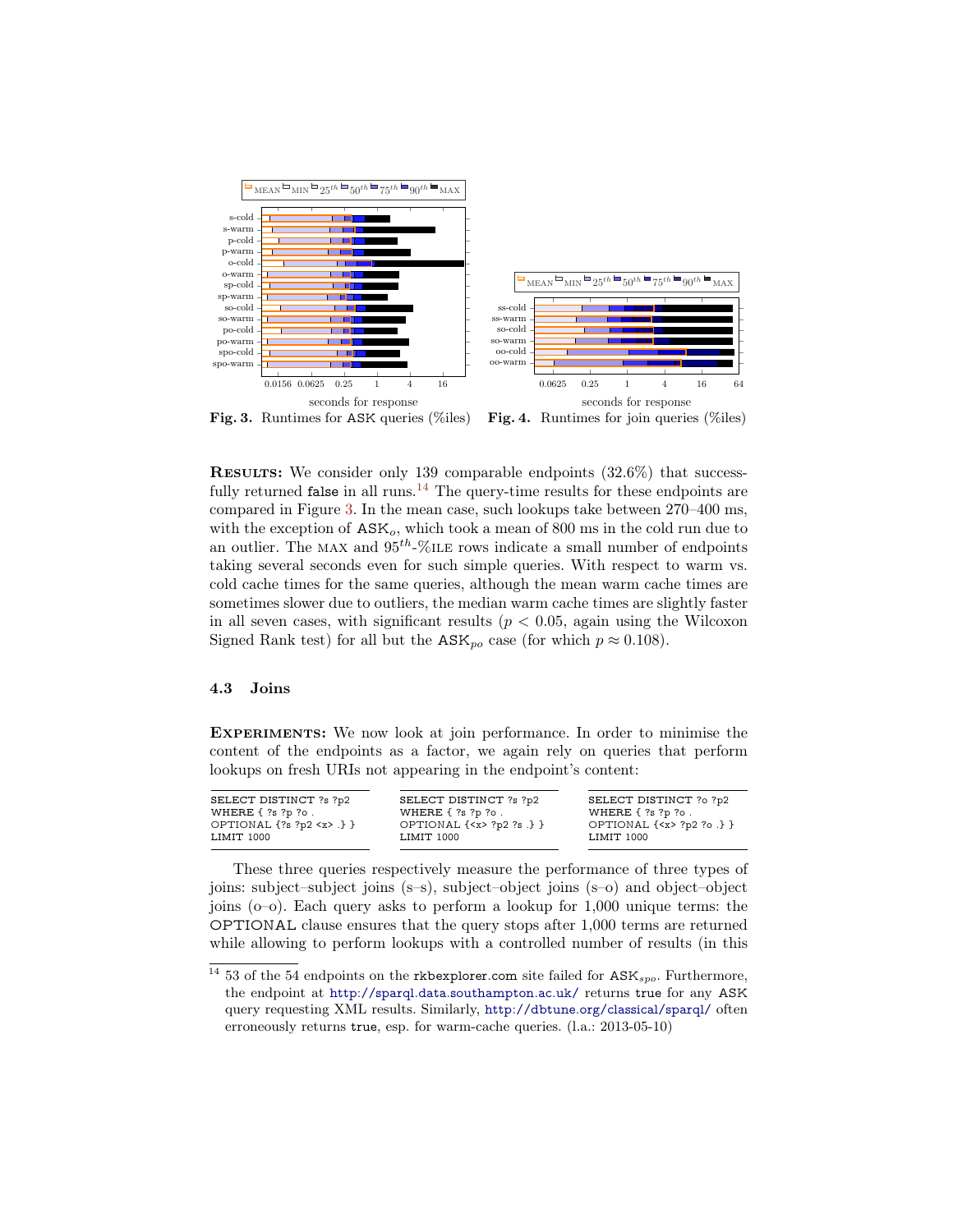

<span id="page-9-2"></span><span id="page-9-1"></span>Fig. 3. Runtimes for ASK queries (%iles) Fig. 4. Runtimes for join queries (%iles)

**RESULTS:** We consider only 139 comparable endpoints  $(32.6\%)$  that success-fully returned false in all runs.<sup>[14](#page-9-0)</sup> The query-time results for these endpoints are compared in Figure [3.](#page-9-1) In the mean case, such lookups take between 270–400 ms, with the exception of  $ASK_0$ , which took a mean of 800 ms in the cold run due to an outlier. The MAX and  $95^{th}$ - $\%$ ILE rows indicate a small number of endpoints taking several seconds even for such simple queries. With respect to warm vs. cold cache times for the same queries, although the mean warm cache times are sometimes slower due to outliers, the median warm cache times are slightly faster in all seven cases, with significant results ( $p < 0.05$ , again using the Wilcoxon Signed Rank test) for all but the  $\text{ASK}_{po}$  case (for which  $p \approx 0.108$ ).

#### 4.3 Joins

EXPERIMENTS: We now look at join performance. In order to minimise the content of the endpoints as a factor, we again rely on queries that perform lookups on fresh URIs not appearing in the endpoint's content:

| LIMIT 1000                                        | LIMIT 1000                                      | LIMIT 1000                                      |
|---------------------------------------------------|-------------------------------------------------|-------------------------------------------------|
| OPTIONAL $\{?s ?p2 < x>.\}$ }                     | OPTIONAL $\{$ ?p2 ?s .} }                       | OPTIONAL $\{<\mathbf{x}>?p2$ ?o.} }             |
| SELECT DISTINCT ?s ?p2<br>WHERE $\{ ?s ?p ?o \}.$ | SELECT DISTINCT ?s ?p2<br>WHERE $\{ ?s ?p ?o$ . | SELECT DISTINCT ?o ?p2<br>WHERE $\{ ?s ?p ?o$ . |

These three queries respectively measure the performance of three types of joins: subject–subject joins (s–s), subject–object joins (s–o) and object–object joins (o–o). Each query asks to perform a lookup for 1,000 unique terms: the OPTIONAL clause ensures that the query stops after 1,000 terms are returned while allowing to perform lookups with a controlled number of results (in this

<span id="page-9-0"></span><sup>&</sup>lt;sup>14</sup> 53 of the 54 endpoints on the rkbexplorer.com site failed for  $\text{ASK}_{spo}$ . Furthermore, the endpoint at <http://sparql.data.southampton.ac.uk/> returns true for any ASK query requesting XML results. Similarly, <http://dbtune.org/classical/sparql/> often erroneously returns true, esp. for warm-cache queries. (l.a.: 2013-05-10)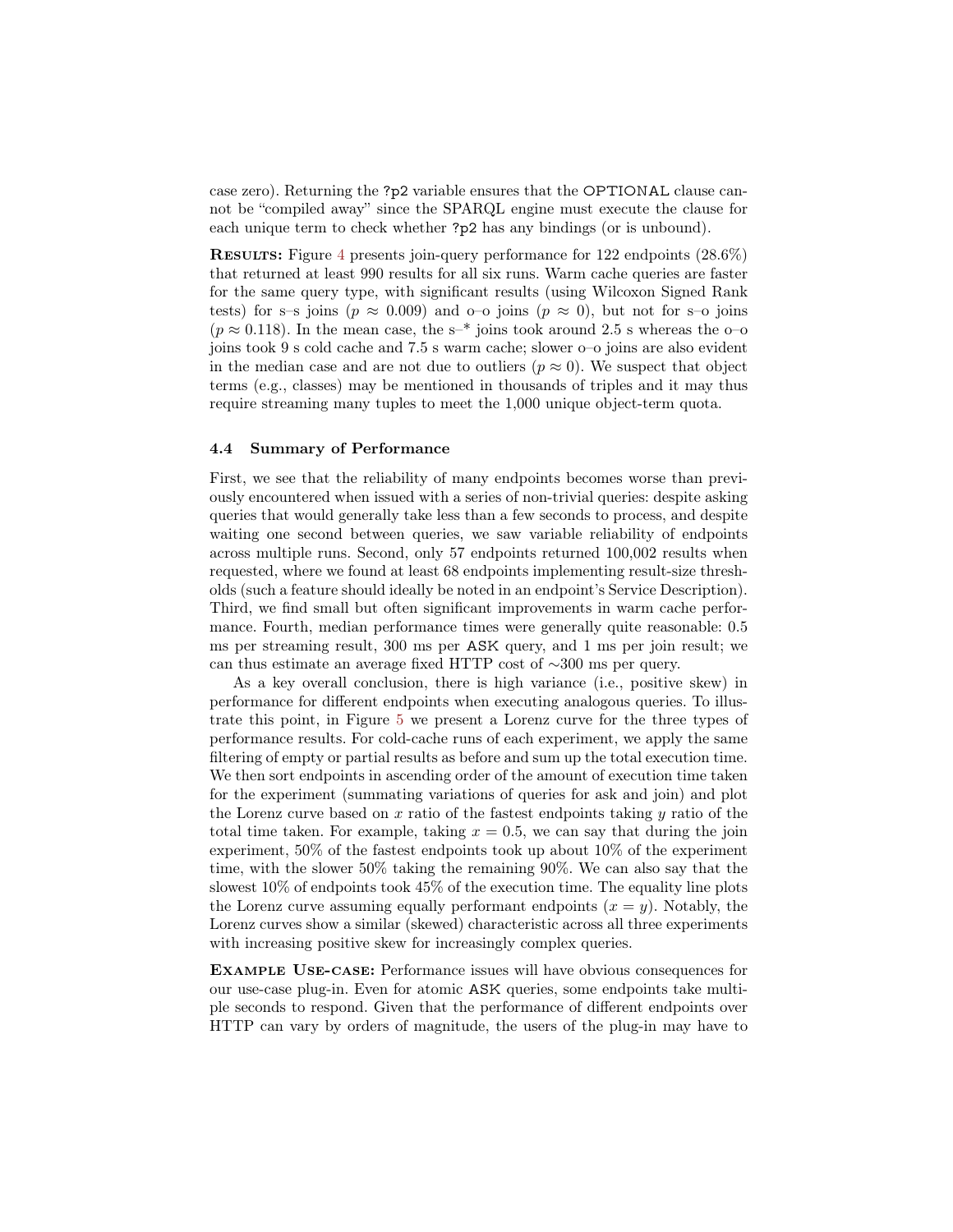case zero). Returning the ?p2 variable ensures that the OPTIONAL clause cannot be "compiled away" since the SPARQL engine must execute the clause for each unique term to check whether ?p2 has any bindings (or is unbound).

RESULTS: Figure [4](#page-9-2) presents join-query performance for 122 endpoints (28.6%) that returned at least 990 results for all six runs. Warm cache queries are faster for the same query type, with significant results (using Wilcoxon Signed Rank tests) for s–s joins ( $p \approx 0.009$ ) and  $o$ –o joins ( $p \approx 0$ ), but not for s–o joins  $(p \approx 0.118)$ . In the mean case, the s<sup>-\*</sup> joins took around 2.5 s whereas the o-o joins took 9 s cold cache and 7.5 s warm cache; slower o–o joins are also evident in the median case and are not due to outliers  $(p \approx 0)$ . We suspect that object terms (e.g., classes) may be mentioned in thousands of triples and it may thus require streaming many tuples to meet the 1,000 unique object-term quota.

#### 4.4 Summary of Performance

First, we see that the reliability of many endpoints becomes worse than previously encountered when issued with a series of non-trivial queries: despite asking queries that would generally take less than a few seconds to process, and despite waiting one second between queries, we saw variable reliability of endpoints across multiple runs. Second, only 57 endpoints returned 100,002 results when requested, where we found at least 68 endpoints implementing result-size thresholds (such a feature should ideally be noted in an endpoint's Service Description). Third, we find small but often significant improvements in warm cache performance. Fourth, median performance times were generally quite reasonable: 0.5 ms per streaming result, 300 ms per ASK query, and 1 ms per join result; we can thus estimate an average fixed HTTP cost of ∼300 ms per query.

As a key overall conclusion, there is high variance (i.e., positive skew) in performance for different endpoints when executing analogous queries. To illustrate this point, in Figure [5](#page-11-1) we present a Lorenz curve for the three types of performance results. For cold-cache runs of each experiment, we apply the same filtering of empty or partial results as before and sum up the total execution time. We then sort endpoints in ascending order of the amount of execution time taken for the experiment (summating variations of queries for ask and join) and plot the Lorenz curve based on x ratio of the fastest endpoints taking  $y$  ratio of the total time taken. For example, taking  $x = 0.5$ , we can say that during the join experiment, 50% of the fastest endpoints took up about 10% of the experiment time, with the slower 50% taking the remaining 90%. We can also say that the slowest 10% of endpoints took 45% of the execution time. The equality line plots the Lorenz curve assuming equally performant endpoints  $(x = y)$ . Notably, the Lorenz curves show a similar (skewed) characteristic across all three experiments with increasing positive skew for increasingly complex queries.

Example Use-case: Performance issues will have obvious consequences for our use-case plug-in. Even for atomic ASK queries, some endpoints take multiple seconds to respond. Given that the performance of different endpoints over HTTP can vary by orders of magnitude, the users of the plug-in may have to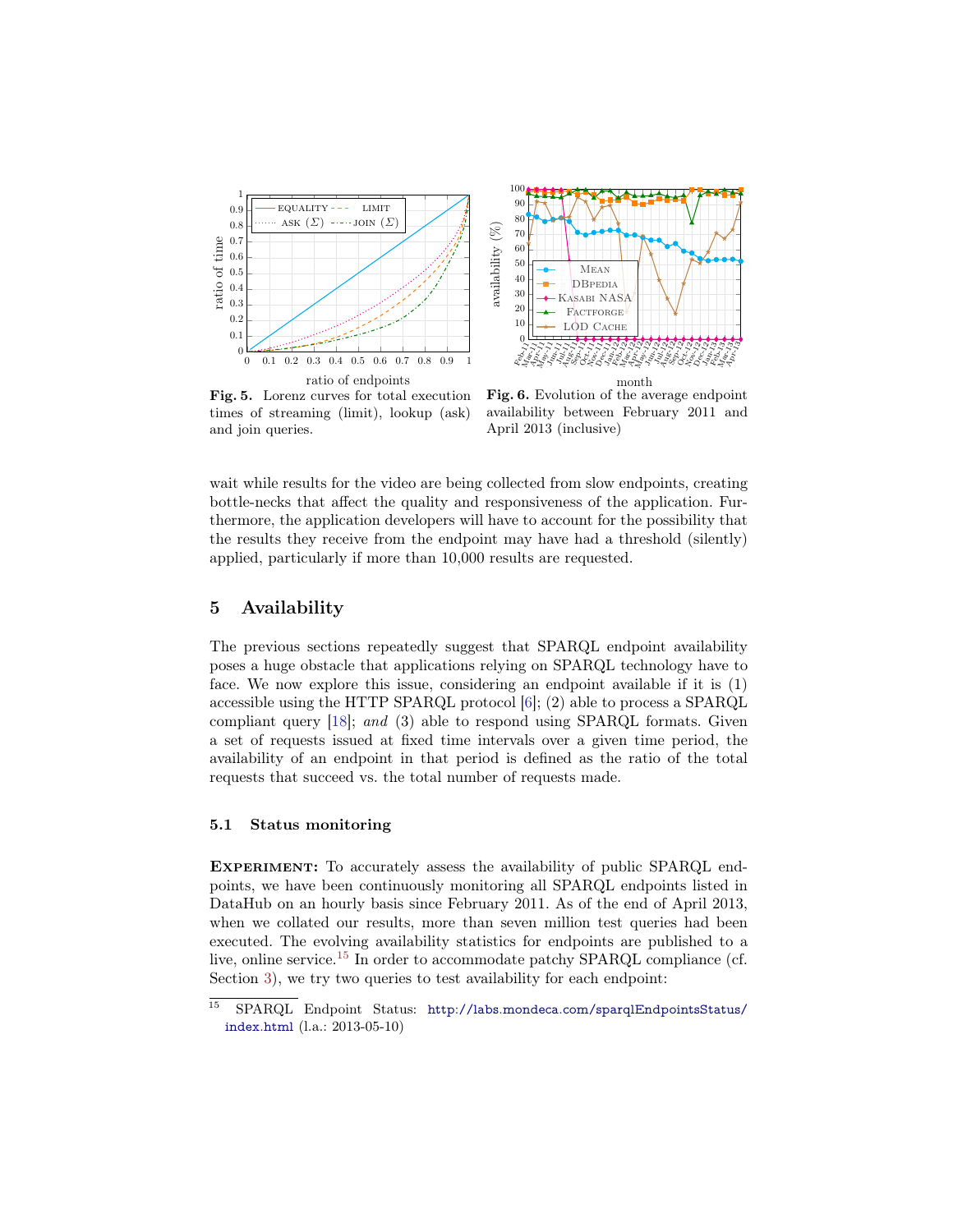

<span id="page-11-1"></span>Fig. 5. Lorenz curves for total execution times of streaming (limit), lookup (ask) and join queries.



<span id="page-11-3"></span>Fig. 6. Evolution of the average endpoint availability between February 2011 and April 2013 (inclusive)

wait while results for the video are being collected from slow endpoints, creating bottle-necks that affect the quality and responsiveness of the application. Furthermore, the application developers will have to account for the possibility that the results they receive from the endpoint may have had a threshold (silently) applied, particularly if more than 10,000 results are requested.

## <span id="page-11-0"></span>5 Availability

The previous sections repeatedly suggest that SPARQL endpoint availability poses a huge obstacle that applications relying on SPARQL technology have to face. We now explore this issue, considering an endpoint available if it is (1) accessible using the HTTP SPARQL protocol [\[6\]](#page-15-15); (2) able to process a SPARQL compliant query [\[18\]](#page-15-0); and (3) able to respond using SPARQL formats. Given a set of requests issued at fixed time intervals over a given time period, the availability of an endpoint in that period is defined as the ratio of the total requests that succeed vs. the total number of requests made.

#### 5.1 Status monitoring

EXPERIMENT: To accurately assess the availability of public SPARQL endpoints, we have been continuously monitoring all SPARQL endpoints listed in DataHub on an hourly basis since February 2011. As of the end of April 2013, when we collated our results, more than seven million test queries had been executed. The evolving availability statistics for endpoints are published to a live, online service.[15](#page-11-2) In order to accommodate patchy SPARQL compliance (cf. Section [3\)](#page-4-0), we try two queries to test availability for each endpoint:

<span id="page-11-2"></span><sup>15</sup> SPARQL Endpoint Status: [http://labs.mondeca.com/sparqlEndpointsStatus/](http://labs.mondeca.com/sparqlEndpointsStatus/index.html) [index.html](http://labs.mondeca.com/sparqlEndpointsStatus/index.html) (l.a.: 2013-05-10)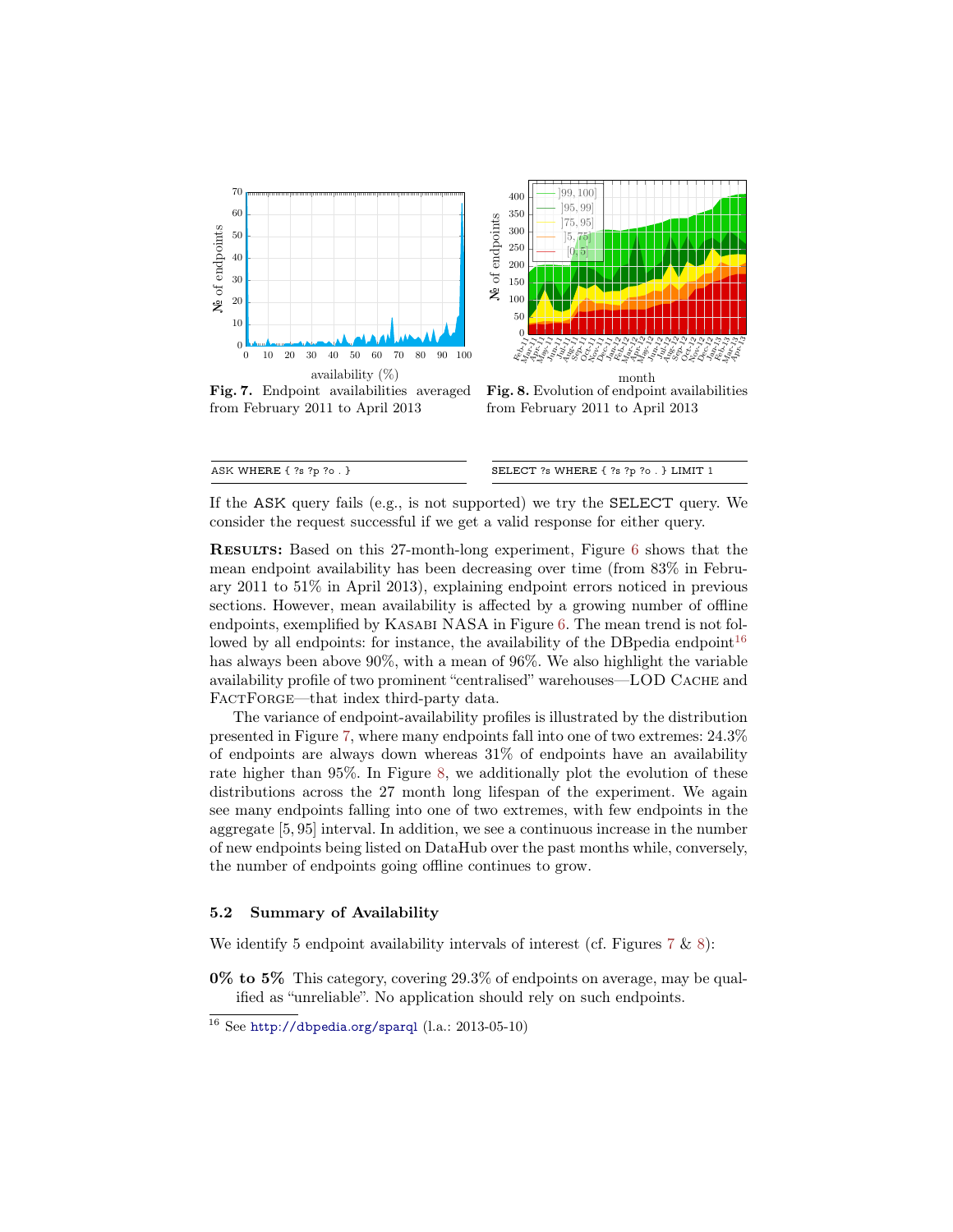

<span id="page-12-1"></span>from February 2011 to April 2013

<span id="page-12-2"></span>Fig. 8. Evolution of endpoint availabilities from February 2011 to April 2013

ASK **WHERE** { ?s ?p ?o . } **SELECT** ?s **WHERE** { ?s ?p ?o . } **LIMIT** 1

If the ASK query fails (e.g., is not supported) we try the SELECT query. We consider the request successful if we get a valid response for either query.

Results: Based on this 27-month-long experiment, Figure [6](#page-11-3) shows that the mean endpoint availability has been decreasing over time (from 83% in February 2011 to 51% in April 2013), explaining endpoint errors noticed in previous sections. However, mean availability is affected by a growing number of offline endpoints, exemplified by KASABI NASA in Figure [6.](#page-11-3) The mean trend is not followed by all endpoints: for instance, the availability of the DB pedia endpoint  $16$ has always been above 90%, with a mean of 96%. We also highlight the variable availability profile of two prominent "centralised" warehouses—LOD Cache and FACTFORGE—that index third-party data.

The variance of endpoint-availability profiles is illustrated by the distribution presented in Figure [7,](#page-12-1) where many endpoints fall into one of two extremes: 24.3% of endpoints are always down whereas 31% of endpoints have an availability rate higher than 95%. In Figure [8,](#page-12-2) we additionally plot the evolution of these distributions across the 27 month long lifespan of the experiment. We again see many endpoints falling into one of two extremes, with few endpoints in the aggregate [5, 95] interval. In addition, we see a continuous increase in the number of new endpoints being listed on DataHub over the past months while, conversely, the number of endpoints going offline continues to grow.

### 5.2 Summary of Availability

We identify 5 endpoint availability intervals of interest (cf. Figures  $7 \& 8$  $7 \& 8$ ):

0% to 5% This category, covering 29.3% of endpoints on average, may be qualified as "unreliable". No application should rely on such endpoints.

<span id="page-12-0"></span> $16$  See <http://dbpedia.org/sparql> (l.a.: 2013-05-10)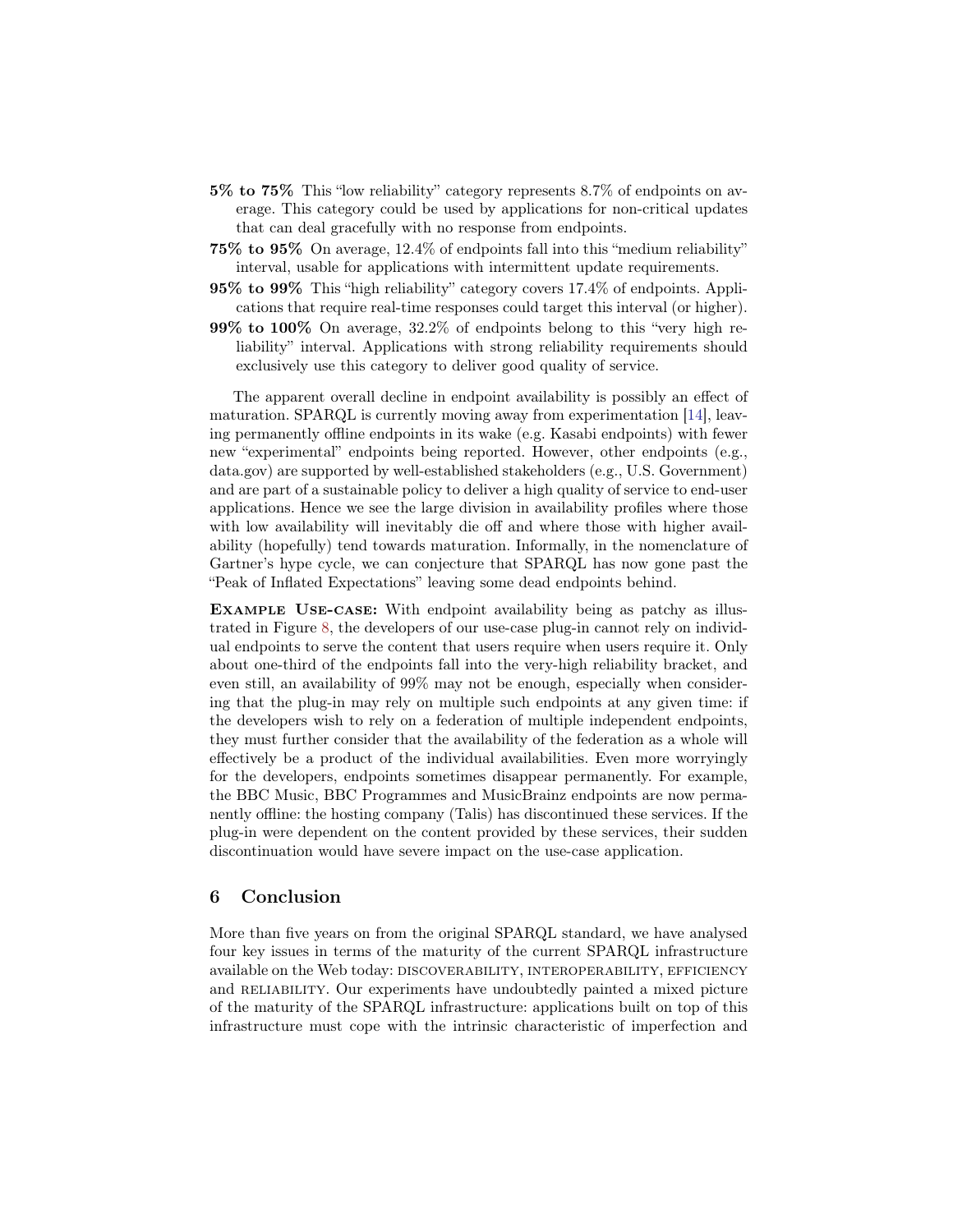- 5% to 75% This "low reliability" category represents 8.7% of endpoints on average. This category could be used by applications for non-critical updates that can deal gracefully with no response from endpoints.
- 75% to 95% On average, 12.4% of endpoints fall into this "medium reliability" interval, usable for applications with intermittent update requirements.
- 95% to 99% This "high reliability" category covers 17.4% of endpoints. Applications that require real-time responses could target this interval (or higher).
- 99% to 100% On average, 32.2% of endpoints belong to this "very high reliability" interval. Applications with strong reliability requirements should exclusively use this category to deliver good quality of service.

The apparent overall decline in endpoint availability is possibly an effect of maturation. SPARQL is currently moving away from experimentation [\[14\]](#page-15-16), leaving permanently offline endpoints in its wake (e.g. Kasabi endpoints) with fewer new "experimental" endpoints being reported. However, other endpoints (e.g., data.gov) are supported by well-established stakeholders (e.g., U.S. Government) and are part of a sustainable policy to deliver a high quality of service to end-user applications. Hence we see the large division in availability profiles where those with low availability will inevitably die off and where those with higher availability (hopefully) tend towards maturation. Informally, in the nomenclature of Gartner's hype cycle, we can conjecture that SPARQL has now gone past the "Peak of Inflated Expectations" leaving some dead endpoints behind.

Example Use-case: With endpoint availability being as patchy as illustrated in Figure [8,](#page-12-2) the developers of our use-case plug-in cannot rely on individual endpoints to serve the content that users require when users require it. Only about one-third of the endpoints fall into the very-high reliability bracket, and even still, an availability of 99% may not be enough, especially when considering that the plug-in may rely on multiple such endpoints at any given time: if the developers wish to rely on a federation of multiple independent endpoints, they must further consider that the availability of the federation as a whole will effectively be a product of the individual availabilities. Even more worryingly for the developers, endpoints sometimes disappear permanently. For example, the BBC Music, BBC Programmes and MusicBrainz endpoints are now permanently offline: the hosting company (Talis) has discontinued these services. If the plug-in were dependent on the content provided by these services, their sudden discontinuation would have severe impact on the use-case application.

# 6 Conclusion

More than five years on from the original SPARQL standard, we have analysed four key issues in terms of the maturity of the current SPARQL infrastructure available on the Web today: DISCOVERABILITY, INTEROPERABILITY, EFFICIENCY and RELIABILITY. Our experiments have undoubtedly painted a mixed picture of the maturity of the SPARQL infrastructure: applications built on top of this infrastructure must cope with the intrinsic characteristic of imperfection and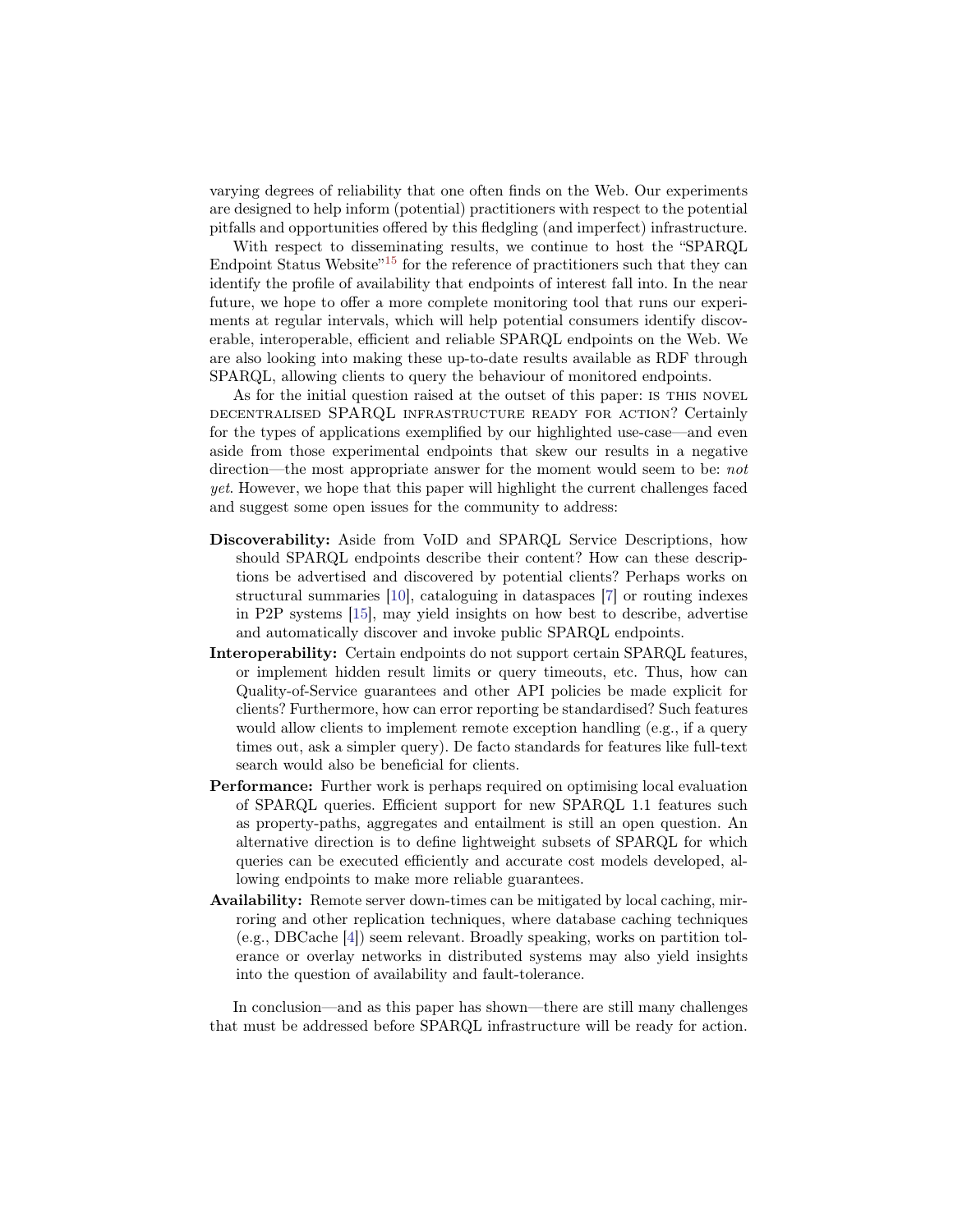varying degrees of reliability that one often finds on the Web. Our experiments are designed to help inform (potential) practitioners with respect to the potential pitfalls and opportunities offered by this fledgling (and imperfect) infrastructure.

With respect to disseminating results, we continue to host the "SPARQL Endpoint Status Website<sup> $15$ </sup> for the reference of practitioners such that they can identify the profile of availability that endpoints of interest fall into. In the near future, we hope to offer a more complete monitoring tool that runs our experiments at regular intervals, which will help potential consumers identify discoverable, interoperable, efficient and reliable SPARQL endpoints on the Web. We are also looking into making these up-to-date results available as RDF through SPARQL, allowing clients to query the behaviour of monitored endpoints.

As for the initial question raised at the outset of this paper: is THIS NOVEL decentralised SPARQL infrastructure ready for action? Certainly for the types of applications exemplified by our highlighted use-case—and even aside from those experimental endpoints that skew our results in a negative direction—the most appropriate answer for the moment would seem to be: not yet. However, we hope that this paper will highlight the current challenges faced and suggest some open issues for the community to address:

- Discoverability: Aside from VoID and SPARQL Service Descriptions, how should SPARQL endpoints describe their content? How can these descriptions be advertised and discovered by potential clients? Perhaps works on structural summaries [\[10\]](#page-15-17), cataloguing in dataspaces [\[7\]](#page-15-18) or routing indexes in P2P systems [\[15\]](#page-15-19), may yield insights on how best to describe, advertise and automatically discover and invoke public SPARQL endpoints.
- Interoperability: Certain endpoints do not support certain SPARQL features, or implement hidden result limits or query timeouts, etc. Thus, how can Quality-of-Service guarantees and other API policies be made explicit for clients? Furthermore, how can error reporting be standardised? Such features would allow clients to implement remote exception handling (e.g., if a query times out, ask a simpler query). De facto standards for features like full-text search would also be beneficial for clients.
- Performance: Further work is perhaps required on optimising local evaluation of SPARQL queries. Efficient support for new SPARQL 1.1 features such as property-paths, aggregates and entailment is still an open question. An alternative direction is to define lightweight subsets of SPARQL for which queries can be executed efficiently and accurate cost models developed, allowing endpoints to make more reliable guarantees.
- Availability: Remote server down-times can be mitigated by local caching, mirroring and other replication techniques, where database caching techniques (e.g., DBCache [\[4\]](#page-15-20)) seem relevant. Broadly speaking, works on partition tolerance or overlay networks in distributed systems may also yield insights into the question of availability and fault-tolerance.

In conclusion—and as this paper has shown—there are still many challenges that must be addressed before SPARQL infrastructure will be ready for action.